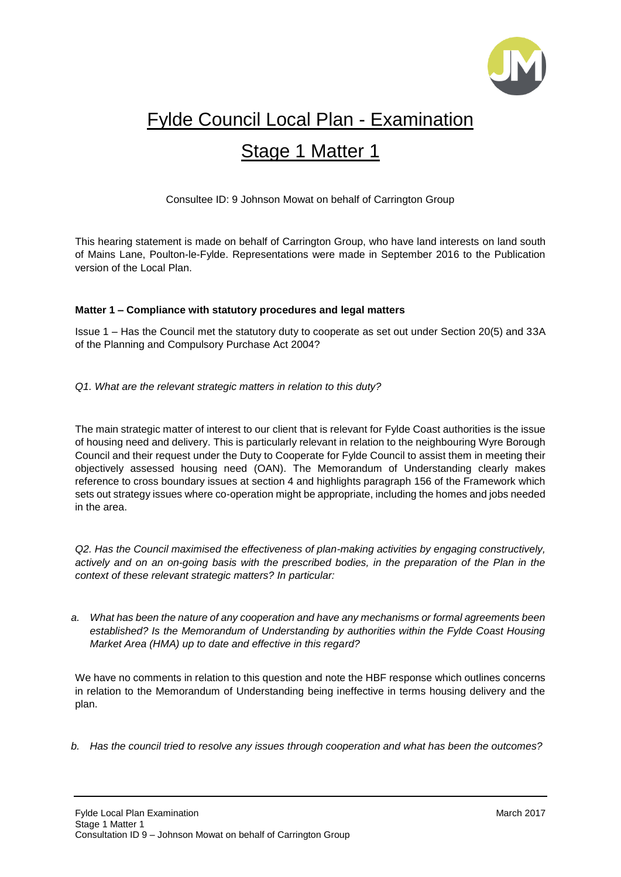

# Fylde Council Local Plan - Examination

# Stage 1 Matter 1

Consultee ID: 9 Johnson Mowat on behalf of Carrington Group

This hearing statement is made on behalf of Carrington Group, who have land interests on land south of Mains Lane, Poulton-le-Fylde. Representations were made in September 2016 to the Publication version of the Local Plan.

# **Matter 1 – Compliance with statutory procedures and legal matters**

Issue 1 – Has the Council met the statutory duty to cooperate as set out under Section 20(5) and 33A of the Planning and Compulsory Purchase Act 2004?

*Q1. What are the relevant strategic matters in relation to this duty?*

The main strategic matter of interest to our client that is relevant for Fylde Coast authorities is the issue of housing need and delivery. This is particularly relevant in relation to the neighbouring Wyre Borough Council and their request under the Duty to Cooperate for Fylde Council to assist them in meeting their objectively assessed housing need (OAN). The Memorandum of Understanding clearly makes reference to cross boundary issues at section 4 and highlights paragraph 156 of the Framework which sets out strategy issues where co-operation might be appropriate, including the homes and jobs needed in the area.

*Q2. Has the Council maximised the effectiveness of plan-making activities by engaging constructively, actively and on an on-going basis with the prescribed bodies, in the preparation of the Plan in the context of these relevant strategic matters? In particular:*

*a. What has been the nature of any cooperation and have any mechanisms or formal agreements been established? Is the Memorandum of Understanding by authorities within the Fylde Coast Housing Market Area (HMA) up to date and effective in this regard?*

We have no comments in relation to this question and note the HBF response which outlines concerns in relation to the Memorandum of Understanding being ineffective in terms housing delivery and the plan.

*b. Has the council tried to resolve any issues through cooperation and what has been the outcomes?*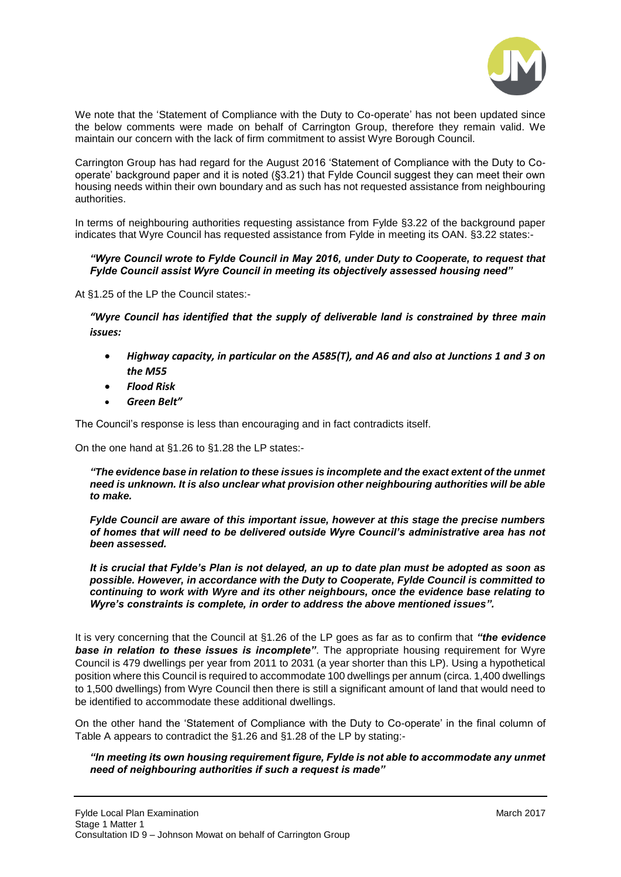

We note that the 'Statement of Compliance with the Duty to Co-operate' has not been updated since the below comments were made on behalf of Carrington Group, therefore they remain valid. We maintain our concern with the lack of firm commitment to assist Wyre Borough Council.

Carrington Group has had regard for the August 2016 'Statement of Compliance with the Duty to Cooperate' background paper and it is noted (§3.21) that Fylde Council suggest they can meet their own housing needs within their own boundary and as such has not requested assistance from neighbouring authorities.

In terms of neighbouring authorities requesting assistance from Fylde §3.22 of the background paper indicates that Wyre Council has requested assistance from Fylde in meeting its OAN. §3.22 states:-

#### *"Wyre Council wrote to Fylde Council in May 2016, under Duty to Cooperate, to request that Fylde Council assist Wyre Council in meeting its objectively assessed housing need"*

At §1.25 of the LP the Council states:-

*"Wyre Council has identified that the supply of deliverable land is constrained by three main issues:*

- *Highway capacity, in particular on the A585(T), and A6 and also at Junctions 1 and 3 on the M55*
- *Flood Risk*
- *Green Belt"*

The Council's response is less than encouraging and in fact contradicts itself.

On the one hand at §1.26 to §1.28 the LP states:-

*"The evidence base in relation to these issues is incomplete and the exact extent of the unmet need is unknown. It is also unclear what provision other neighbouring authorities will be able to make.* 

*Fylde Council are aware of this important issue, however at this stage the precise numbers of homes that will need to be delivered outside Wyre Council's administrative area has not been assessed.* 

*It is crucial that Fylde's Plan is not delayed, an up to date plan must be adopted as soon as possible. However, in accordance with the Duty to Cooperate, Fylde Council is committed to continuing to work with Wyre and its other neighbours, once the evidence base relating to Wyre's constraints is complete, in order to address the above mentioned issues".*

It is very concerning that the Council at §1.26 of the LP goes as far as to confirm that *"the evidence*  **base in relation to these issues is incomplete"**. The appropriate housing requirement for Wyre Council is 479 dwellings per year from 2011 to 2031 (a year shorter than this LP). Using a hypothetical position where this Council is required to accommodate 100 dwellings per annum (circa. 1,400 dwellings to 1,500 dwellings) from Wyre Council then there is still a significant amount of land that would need to be identified to accommodate these additional dwellings.

On the other hand the 'Statement of Compliance with the Duty to Co-operate' in the final column of Table A appears to contradict the §1.26 and §1.28 of the LP by stating:-

#### *"In meeting its own housing requirement figure, Fylde is not able to accommodate any unmet need of neighbouring authorities if such a request is made"*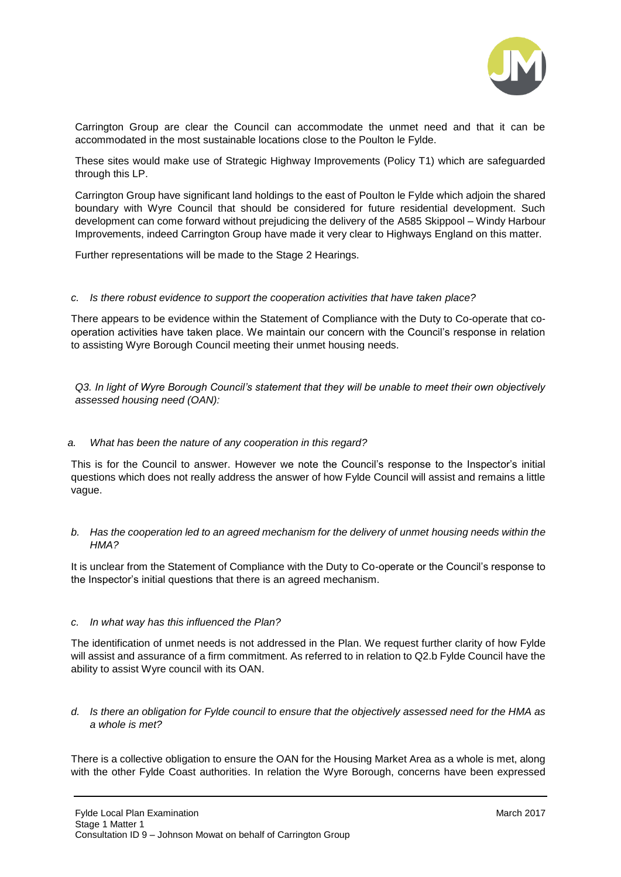

Carrington Group are clear the Council can accommodate the unmet need and that it can be accommodated in the most sustainable locations close to the Poulton le Fylde.

These sites would make use of Strategic Highway Improvements (Policy T1) which are safeguarded through this LP.

Carrington Group have significant land holdings to the east of Poulton le Fylde which adjoin the shared boundary with Wyre Council that should be considered for future residential development. Such development can come forward without prejudicing the delivery of the A585 Skippool – Windy Harbour Improvements, indeed Carrington Group have made it very clear to Highways England on this matter.

Further representations will be made to the Stage 2 Hearings.

#### *c. Is there robust evidence to support the cooperation activities that have taken place?*

There appears to be evidence within the Statement of Compliance with the Duty to Co-operate that cooperation activities have taken place. We maintain our concern with the Council's response in relation to assisting Wyre Borough Council meeting their unmet housing needs.

*Q3. In light of Wyre Borough Council's statement that they will be unable to meet their own objectively assessed housing need (OAN):*

### *a. What has been the nature of any cooperation in this regard?*

This is for the Council to answer. However we note the Council's response to the Inspector's initial questions which does not really address the answer of how Fylde Council will assist and remains a little vague.

#### *b. Has the cooperation led to an agreed mechanism for the delivery of unmet housing needs within the HMA?*

It is unclear from the Statement of Compliance with the Duty to Co-operate or the Council's response to the Inspector's initial questions that there is an agreed mechanism.

#### *c. In what way has this influenced the Plan?*

The identification of unmet needs is not addressed in the Plan. We request further clarity of how Fylde will assist and assurance of a firm commitment. As referred to in relation to Q2.b Fylde Council have the ability to assist Wyre council with its OAN.

#### *d. Is there an obligation for Fylde council to ensure that the objectively assessed need for the HMA as a whole is met?*

There is a collective obligation to ensure the OAN for the Housing Market Area as a whole is met, along with the other Fylde Coast authorities. In relation the Wyre Borough, concerns have been expressed